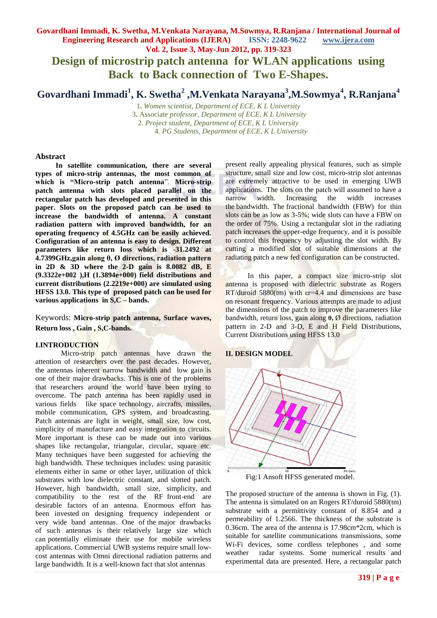# **Govardhani Immadi, K. Swetha, M.Venkata Narayana, M.Sowmya, R.Ranjana / International Journal of Engineering Research and Applications (IJERA) ISSN: 2248-9622 www.ijera.com**

**Vol. 2, Issue 3, May-Jun 2012, pp. 319-323 Design of microstrip patch antenna for WLAN applications using Back to Back connection of Two E-Shapes.**

# **Govardhani Immadi<sup>1</sup> , K. Swetha<sup>2</sup> ,M.Venkata Narayana 3 ,M.Sowmya<sup>4</sup> , R.Ranjana<sup>4</sup>**

**.** *Women scientist, Department of ECE, K L University* **.** Associate *professor, Department of ECE, K L University . Project student, Department of ECE, K L University . PG Students, Department of ECE, K L University*

#### **Abstract**

 **In satellite communication, there are several types of micro-strip antennas, the most common of which is "Micro-strip patch antenna**". **Micro-strip patch antenna with slots placed parallel on the rectangular patch has developed and presented in this paper. Slots on the proposed patch can be used to increase the bandwidth of antenna. A constant radiation pattern with improved bandwidth, for an operating frequency of 4.5GHz can be easily achieved. Configuration of an antenna is easy to design. Different parameters like return loss which is -31.2492 at 4.7399GHz,gain along θ, Ø directions, radiation pattern in 2D & 3D where the 2-D gain is 8.0082 dB, E (9.3322e+002 ),H (1.3894e+000) field distributions and current distributions (2.2219e+000) are simulated using HFSS 13.0. This type of proposed patch can be used for various applications in S,C – bands.**

Keywords: **Micro-strip patch antenna, Surface waves, Return loss , Gain , S,C-bands.**

#### **I.INTRODUCTION**

Micro-strip patch antennas have drawn the attention of researchers over the past decades. However, the antennas inherent narrow bandwidth and low gain is one of their major drawbacks. This is one of the problems that researchers around the world have been trying to overcome. The patch antenna has been rapidly used in various fields like space technology, aircrafts, missiles, mobile communication, GPS system, and broadcasting. Patch antennas are light in weight, small size, low cost, simplicity of manufacture and easy integration to circuits. More important is these can be made out into various shapes like rectangular, triangular, circular, square etc. Many techniques have been suggested for achieving the high bandwidth. These techniques includes: using parasitic elements either in same or other layer, utilization of thick substrates with low dielectric constant, and slotted patch. However, high bandwidth, small size, simplicity, and compatibility to the rest of the RF front-end are desirable factors of an antenna. Enormous effort has been invested on designing frequency independent or very wide band antennas. One of the major drawbacks of such antennas is their relatively large size which can potentially eliminate their use for mobile wireless applications. Commercial UWB systems require small lowcost antennas with Omni directional radiation patterns and large bandwidth. It is a well-known fact that slot antennas

present really appealing physical features, such as simple structure, small size and low cost, micro-strip slot antennas are extremely attractive to be used in emerging UWB applications. The slots on the patch will assumed to have a narrow width. Increasing the width increases the bandwidth. The fractional bandwidth (FBW) for thin slots can be as low as 3-5%; wide slots can have a FBW on the order of 75%. Using a rectangular slot in the radiating patch increases the upper-edge frequency, and it is possible to control this frequency by adjusting the slot width. By cutting a modified slot of suitable dimensions at the radiating patch a new fed configuration can be constructed.

 In this paper, a compact size micro-strip slot antenna is proposed with dielectric substrate as Rogers RT/duroid 5880(tm) with  $\varepsilon$ r=4.4 and dimensions are base on resonant frequency. Various attempts are made to adjust the dimensions of the patch to improve the parameters like bandwidth, return loss, gain along **θ,** Ø directions, radiation pattern in 2-D and 3-D, E and H Field Distributions, Current Distributions using HFSS 13.0

#### **II. DESIGN MODEL**



Fig:1 Ansoft HFSS generated model.

The proposed structure of the antenna is shown in Fig. (1). The antenna is simulated on an Rogers RT/duroid 5880(tm) substrate with a permittivity constant of 8.854 and a permeability of 1.2566. The thickness of the substrate is 0.36cm. The area of the antenna is 17.98cm\*2cm, which is suitable for satellite communications transmissions, some Wi-Fi devices, some cordless telephones , and some weather radar systems. Some numerical results and experimental data are presented. Here, a rectangular patch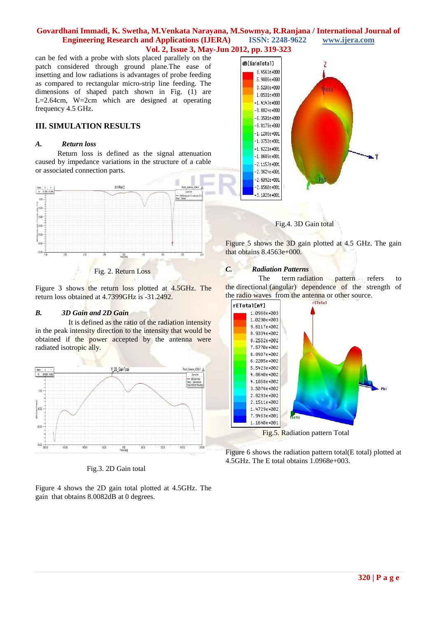#### **Govardhani Immadi, K. Swetha, M.Venkata Narayana, M.Sowmya, R.Ranjana / International Journal of Engineering Research and Applications (IJERA) ISSN: 2248-9622 www.ijera.com Vol. 2, Issue 3, May-Jun 2012, pp. 319-323**

can be fed with a probe with slots placed parallely on the patch considered through ground plane.The ease of insetting and low radiations is advantages of probe feeding as compared to rectangular micro-strip line feeding. The dimensions of shaped patch shown in Fig. (1) are L=2.64cm, W=2cm which are designed at operating frequency 4.5 GHz.

### **III. SIMULATION RESULTS**

#### *A. Return loss*

Return loss is defined as the signal attenuation caused by impedance variations in the structure of a cable or associated connection parts.



Fig. 2. Return Loss

Figure 3 shows the return loss plotted at 4.5GHz. The return loss obtained at 4.7399GHz is -31.2492.

#### *B. 3D Gain and 2D Gain*

 It is defined as the ratio of the radiation intensity in the peak intensity direction to the intensity that would be obtained if the power accepted by the antenna were radiated isotropic ally.



Fig.3. 2D Gain total

Figure 4 shows the 2D gain total plotted at 4.5GHz. The gain that obtains 8.0082dB at 0 degrees.





Figure 5 shows the 3D gain plotted at 4.5 GHz. The gain that obtains 8.4563e+000.

#### *C. Radiation Patterns*

The term radiation pattern refers to the directional (angular) dependence of the strength of the radio waves from the antenna or other source.



Figure 6 shows the radiation pattern total(E total) plotted at 4.5GHz. The E total obtains 1.0968e+003.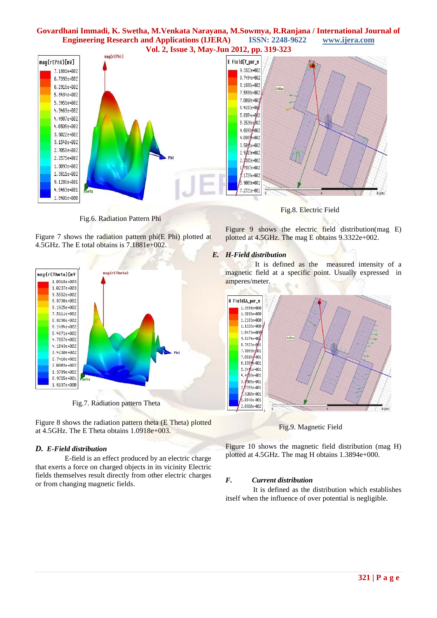# **Govardhani Immadi, K. Swetha, M.Venkata Narayana, M.Sowmya, R.Ranjana / International Journal of Engineering Research and Applications (IJERA) ISSN: 2248-9622 www.ijera.com**



Fig.6. Radiation Pattern Phi

Figure 7 shows the radiation pattern phi(E Phi) plotted at 4.5GHz. The E total obtains is 7.1881e+002.



Fig.7. Radiation pattern Theta

Figure 8 shows the radiation pattern theta (E Theta) plotted at 4.5GHz. The E Theta obtains 1.0918e+003.

#### *D. E-Field distribution*

 E-field is an effect produced by an electric charge that exerts a force on charged objects in its vicinity Electric fields themselves result directly from other electric charges or from changing magnetic fields.

Fig.8. Electric Field

Figure 9 shows the electric field distribution(mag E) plotted at 4.5GHz. The mag E obtains 9.3322e+002.

#### *E. H-Field distribution*

 It is defined as the measured intensity of a magnetic field at a specific point. Usually expressed in amperes/meter.



Fig.9. Magnetic Field

Figure 10 shows the magnetic field distribution (mag H) plotted at 4.5GHz. The mag H obtains 1.3894e+000.

#### *F. Current distribution*

 It is defined as the distribution which establishes itself when the influence of over [potential](http://goldbook.iupac.org/O04358.html) is negligible.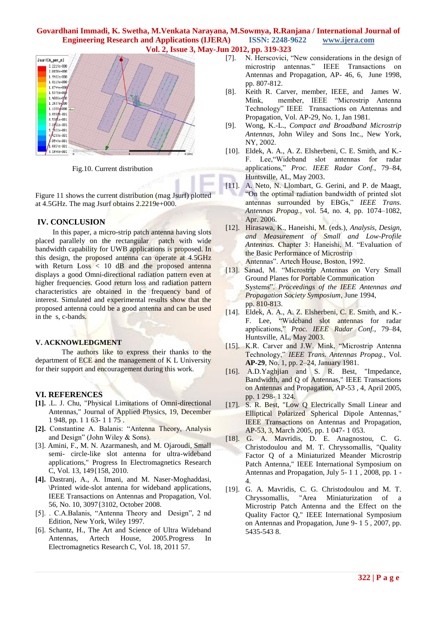#### **Govardhani Immadi, K. Swetha, M.Venkata Narayana, M.Sowmya, R.Ranjana / International Journal of Engineering Research and Applications (IJERA) ISSN: 2248-9622 www.ijera.com Vol. 2, Issue 3, May-Jun 2012, pp. 319-323**



Fig.10. Current distribution

Figure 11 shows the current distribution (mag Jsurf) plotted at 4.5GHz. The mag Jsurf obtains 2.2219e+000.

#### **IV. CONCLUSION**

In this paper, a micro-strip patch antenna having slots placed parallely on the rectangular patch with wide bandwidth capability for UWB applications is proposed. In this design, the proposed antenna can operate at 4.5GHz with Return Loss < 10 dB and the proposed antenna displays a good Omni-directional radiation pattern even at higher frequencies. Good return loss and radiation pattern characteristics are obtained in the frequency band of interest. Simulated and experimental results show that the proposed antenna could be a good antenna and can be used in the s, c-bands.

#### **V. ACKNOWLEDGMENT**

The authors like to express their thanks to the department of ECE and the management of K L University for their support and encouragement during this work.

#### **VI. REFERENCES**

- **[1].** .L. J. Chu, "Physical Limitations of Omni-directional Antennas," Journal of Applied Physics, 19, December 1 948, pp. 1 1 63- 1 1 75 .
- **[2].** Constantine A. Balanis: "Antenna Theory, Analysis and Design" (John Wiley & Sons).
- [3]. Amini, F., M. N. Azarmanesh, and M. Ojaroudi, Small semi- circle-like slot antenna for ultra-wideband applications," Progress In Electromagnetics Research C, Vol. 13, 149{158, 2010.
- **[4].** Dastranj, A., A. Imani, and M. Naser-Moghaddasi, \Printed wide-slot antenna for wideband applications, IEEE Transactions on Antennas and Propagation, Vol. 56, No. 10, 3097{3102, October 2008.
- [5]. . C.A.Balanis, "Antenna Theory and Design", 2 nd Edition, New York, Wiley 1997.
- [6]. Schantz, H., The Art and Science of Ultra Wideband Antennas, Artech House, 2005.Progress In Electromagnetics Research C, Vol. 18, 2011 57.
- [7]. N. Herscovici, "New considerations in the design of microstrip antennas." IEEE Transactions on Antennas and Propagation, AP- 46, 6, June 1998, pp. 807-812.
- [8]. Keith R. Carver, member, IEEE, and James W. Mink, member, IEEE "Microstrip Antenna Technology" IEEE Transactions on Antennas and Propagation, Vol. AP-29, No. 1, Jan 1981.
- [9]. Wong, K.-L., *Compact and Broadband Microstrip Antennas*, John Wiley and Sons Inc., New York, NY, 2002.
- [10]. Eldek, A. A., A. Z. Elsherbeni, C. E. Smith, and K.- F. Lee,"Wideband slot antennas for radar applications," *Proc. IEEE Radar Conf.*, 79–84, Huntsville, AL, May 2003.
- [11]. A. Neto, N. Llombart, G. Gerini, and P. de Maagt, "On the optimal radiation bandwidth of printed slot antennas surrounded by EBGs," *IEEE Trans. Antennas Propag.*, vol. 54, no. 4, pp. 1074–1082, Apr. 2006.
- [12]. Hirasawa, K., Haneishi, M. (eds.), *Analysis, Design, and Measurement of Small and Low-Profile Antennas.* Chapter 3: Haneishi, M. "Evaluation of the Basic Performance of Microstrip Antennas". Artech House, Boston, 1992.
- [13]. Sanad, M. "Microstrip Antennas on Very Small Ground Planes for Portable Communication Systems". *Proceedings of the IEEE Antennas and Propagation Society Symposium*, June 1994, pp. 810-813.
- [14]. Eldek, A. A., A. Z. Elsherbeni, C. E. Smith, and K.- F. Lee, "Wideband slot antennas for radar applications," *Proc. IEEE Radar Conf.*, 79–84, Huntsville, AL, May 2003.
- [15]. K.R. Carver and J.W. Mink, "Microstrip Antenna Technology," *IEEE Trans. Antennas Propag.*, Vol. **AP-29**, No. 1, pp. 2–24, January 1981.
- [16]. A.D.Yaghjian and S. R. Best, "Impedance, Bandwidth, and Q of Antennas," IEEE Transactions on Antennas and Propagation, AP-53 , 4, April 2005, pp. 1 298- 1 324.
- [17]. S. R. Best, "Low Q Electrically Small Linear and Elliptical Polarized Spherical Dipole Antennas," IEEE Transactions on Antennas and Propagation, AP-53, 3, March 2005, pp. 1 047- 1 053.
- [18]. G. A. Mavridis, D. E. Anagnostou, C. G. Christodoulou and M. T. Chryssomallis, "Quality Factor Q of a Miniaturized Meander Microstrip Patch Antenna," IEEE International Symposium on Antennas and Propagation, July 5- 1 1 , 2008, pp. 1 - 4.
- [19]. G. A. Mavridis, C. G. Christodoulou and M. T. Chryssomallis, "Area Miniaturization of a Microstrip Patch Antenna and the Effect on the Quality Factor Q," IEEE International Symposium on Antennas and Propagation, June 9- 1 5 , 2007, pp. 5435-543 8.